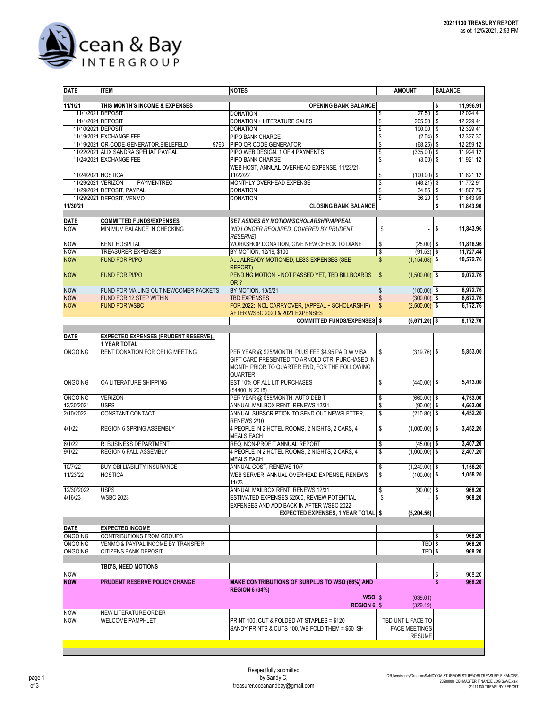

| 11/1/21<br>THIS MONTH'S INCOME & EXPENSES<br><b>OPENING BANK BALANCE</b><br>11/1/2021 DEPOSIT<br><b>DONATION</b><br>\$<br>11/1/2021 DEPOSIT<br><b>DONATION + LITERATURE SALES</b><br>\$<br>$\mathsf{s}$<br>11/10/2021 DEPOSIT<br><b>DONATION</b><br>11/19/2021 EXCHANGE FEE<br>PIPO BANK CHARGE<br>\$<br>11/19/2021 QR-CODE-GENERATOR.BIELEFELD<br>\$<br>9763<br>PIPO QR CODE GENERATOR<br>11/22/2021 ALIX SANDRA SPEI IAT PAYPAL<br>\$<br>PIPO WEB DESIGN, 1 OF 4 PAYMENTS<br>11/24/2021 EXCHANGE FEE<br>\$<br>PIPO BANK CHARGE<br>WEB HOST, ANNUAL OVERHEAD EXPENSE, 11/23/21-<br>11/24/2021 HOSTICA<br>\$<br>11/22/22<br>$\mathsf{s}$<br>PAYMENTREC<br>MONTHLY OVERHEAD EXPENSE<br>11/29/2021 VERIZON<br>11/29/2021 DEPOSIT, PAYPAL<br><b>DONATION</b><br>\$<br>11/29/2021 DEPOSIT, VENMO<br><b>DONATION</b><br>\$<br>11/30/21<br><b>CLOSING BANK BALANCE</b><br><b>SET ASIDES BY MOTION/SCHOLARSHIP/APPEAL</b><br><b>COMMITTED FUNDS/EXPENSES</b><br><b>DATE</b><br>(NO LONGER REQUIRED, COVERED BY PRUDENT<br>\$<br><b>NOW</b><br>MINIMUM BALANCE IN CHECKING<br><b>RESERVE)</b><br>WORKSHOP DONATION, GIVE NEW CHECK TO DIANE<br><b>NOW</b><br><b>KENT HOSPITAL</b><br>\$<br>$\sqrt{3}$<br><b>NOW</b><br><b>TREASURER EXPENSES</b><br>BY MOTION, 12/19, \$100<br>ALL ALREADY MOTIONED, LESS EXPENSES (SEE<br><b>NOW</b><br><b>FUND FOR PI/PO</b><br>\$<br><b>REPORT)</b><br>PENDING MOTION - NOT PASSED YET, TBD BILLBOARDS<br>$\mathbb{S}$<br><b>NOW</b><br><b>FUND FOR PI/PO</b><br>OR ?<br><b>NOW</b><br>FUND FOR MAILING OUT NEWCOMER PACKETS<br>BY MOTION, 10/5/21<br>\$<br>\$<br><b>NOW</b><br><b>TBD EXPENSES</b><br>FUND FOR 12 STEP WITHIN<br><b>FUND FOR WSBC</b><br>FOR 2022: INCL CARRYOVER, (APPEAL + SCHOLARSHIP)<br>\$<br><b>NOW</b><br>AFTER WSBC 2020 & 2021 EXPENSES<br><b>COMMITTED FUNDS/EXPENSES</b> \$<br><b>EXPECTED EXPENSES (PRUDENT RESERVE),</b><br><b>DATE</b><br><b>1 YEAR TOTAL</b><br>RENT DONATION FOR OBI IG MEETING<br>PER YEAR @ \$25/MONTH, PLUS FEE \$4.95 PAID W VISA<br>ONGOING<br>\$<br>GIFT CARD PRESENTED TO ARNOLD CTR, PURCHASED IN<br>MONTH PRIOR TO QUARTER END, FOR THE FOLLOWING<br>QUARTER<br><b>ONGOING</b><br>OA LITERATURE SHIPPING<br>EST 10% OF ALL LIT PURCHASES<br>\$<br>(\$4400 IN 2018)<br><b>ONGOING</b><br><b>VERIZON</b><br>PER YEAR @ \$55/MONTH, AUTO DEBIT<br>\$<br>12/30/2021<br>\$<br><b>USPS</b><br>ANNUAL MAILBOX RENT, RENEWS 12/31<br>2/10/2022<br>CONSTANT CONTACT<br>ANNUAL SUBSCRIPTION TO SEND OUT NEWSLETTER,<br>\$<br>RENEWS 2/10<br>4/1/22<br><b>REGION 6 SPRING ASSEMBLY</b><br>4 PEOPLE IN 2 HOTEL ROOMS, 2 NIGHTS, 2 CARS, 4<br>\$<br><b>MEALS EACH</b><br>6/1/22<br>RI BUSINESS DEPARTMENT<br>REQ. NON-PROFIT ANNUAL REPORT<br>\$<br>9/1/22<br>4 PEOPLE IN 2 HOTEL ROOMS, 2 NIGHTS, 2 CARS, 4<br>\$<br>REGION 6 FALL ASSEMBLY<br><b>MEALS EACH</b><br>10/7/22<br>BUY OBI LIABILITY INSURANCE<br>ANNUAL COST, RENEWS 10/7<br>\$<br>11/23/22<br><b>HOSTICA</b><br>WEB SERVER, ANNUAL OVERHEAD EXPENSE, RENEWS<br>\$<br>11/23<br><b>USPS</b><br>ANNUAL MAILBOX RENT, RENEWS 12/31<br>\$<br>4/16/23<br><b>WSBC 2023</b><br>ESTIMATED EXPENSES \$2500, REVIEW POTENTIAL<br>\$ | 27.50<br>$205.00$ \ \$<br>$100.00$ \ \$<br>$(2.04)$ \$<br>$(68.25)$ \$<br>$(335.00)$ \$<br>$(3.00)$ \$<br>$(100.00)$ \$<br>$(48.21)$ \$<br>$34.85$ \$<br>$36.20$ \$<br>$(25.00)$ \$<br>$(91.52)$ \$<br>$(1.154.68)$ \$<br>$(1,500.00)$ \$<br>$(100.00)$ \$<br>$(300.00)$ \$<br>$(2,500.00)$ \$<br>$(5,671.20)$ \$<br>$(319.76)$ \$ | 11,996.91<br>\$<br>12,024.41<br>\$<br>12,229.41<br>12,329.41<br>12,327.37<br>12,259.12<br>11,924.12<br>11,921.12<br>11,821.12<br>11.772.91<br>11,807.76<br>11,843.96<br>11,843.96<br>\$<br>\$<br>11,843.96<br>11,818.96<br>11,727.44<br>10,572.76<br>9,072.76<br>8.972.76<br>8.672.76<br>6,172.76<br>6,172.76 |
|-----------------------------------------------------------------------------------------------------------------------------------------------------------------------------------------------------------------------------------------------------------------------------------------------------------------------------------------------------------------------------------------------------------------------------------------------------------------------------------------------------------------------------------------------------------------------------------------------------------------------------------------------------------------------------------------------------------------------------------------------------------------------------------------------------------------------------------------------------------------------------------------------------------------------------------------------------------------------------------------------------------------------------------------------------------------------------------------------------------------------------------------------------------------------------------------------------------------------------------------------------------------------------------------------------------------------------------------------------------------------------------------------------------------------------------------------------------------------------------------------------------------------------------------------------------------------------------------------------------------------------------------------------------------------------------------------------------------------------------------------------------------------------------------------------------------------------------------------------------------------------------------------------------------------------------------------------------------------------------------------------------------------------------------------------------------------------------------------------------------------------------------------------------------------------------------------------------------------------------------------------------------------------------------------------------------------------------------------------------------------------------------------------------------------------------------------------------------------------------------------------------------------------------------------------------------------------------------------------------------------------------------------------------------------------------------------------------------------------------------------------------------------------------------------------------------------------------------------------------------------------------------------------------------------------------------------------------------------------------------------------------------------------------------------------------------------------------------------------------------------------------------------------------------|------------------------------------------------------------------------------------------------------------------------------------------------------------------------------------------------------------------------------------------------------------------------------------------------------------------------------------|---------------------------------------------------------------------------------------------------------------------------------------------------------------------------------------------------------------------------------------------------------------------------------------------------------------|
|                                                                                                                                                                                                                                                                                                                                                                                                                                                                                                                                                                                                                                                                                                                                                                                                                                                                                                                                                                                                                                                                                                                                                                                                                                                                                                                                                                                                                                                                                                                                                                                                                                                                                                                                                                                                                                                                                                                                                                                                                                                                                                                                                                                                                                                                                                                                                                                                                                                                                                                                                                                                                                                                                                                                                                                                                                                                                                                                                                                                                                                                                                                                                                 |                                                                                                                                                                                                                                                                                                                                    |                                                                                                                                                                                                                                                                                                               |
|                                                                                                                                                                                                                                                                                                                                                                                                                                                                                                                                                                                                                                                                                                                                                                                                                                                                                                                                                                                                                                                                                                                                                                                                                                                                                                                                                                                                                                                                                                                                                                                                                                                                                                                                                                                                                                                                                                                                                                                                                                                                                                                                                                                                                                                                                                                                                                                                                                                                                                                                                                                                                                                                                                                                                                                                                                                                                                                                                                                                                                                                                                                                                                 |                                                                                                                                                                                                                                                                                                                                    |                                                                                                                                                                                                                                                                                                               |
|                                                                                                                                                                                                                                                                                                                                                                                                                                                                                                                                                                                                                                                                                                                                                                                                                                                                                                                                                                                                                                                                                                                                                                                                                                                                                                                                                                                                                                                                                                                                                                                                                                                                                                                                                                                                                                                                                                                                                                                                                                                                                                                                                                                                                                                                                                                                                                                                                                                                                                                                                                                                                                                                                                                                                                                                                                                                                                                                                                                                                                                                                                                                                                 |                                                                                                                                                                                                                                                                                                                                    |                                                                                                                                                                                                                                                                                                               |
|                                                                                                                                                                                                                                                                                                                                                                                                                                                                                                                                                                                                                                                                                                                                                                                                                                                                                                                                                                                                                                                                                                                                                                                                                                                                                                                                                                                                                                                                                                                                                                                                                                                                                                                                                                                                                                                                                                                                                                                                                                                                                                                                                                                                                                                                                                                                                                                                                                                                                                                                                                                                                                                                                                                                                                                                                                                                                                                                                                                                                                                                                                                                                                 |                                                                                                                                                                                                                                                                                                                                    |                                                                                                                                                                                                                                                                                                               |
|                                                                                                                                                                                                                                                                                                                                                                                                                                                                                                                                                                                                                                                                                                                                                                                                                                                                                                                                                                                                                                                                                                                                                                                                                                                                                                                                                                                                                                                                                                                                                                                                                                                                                                                                                                                                                                                                                                                                                                                                                                                                                                                                                                                                                                                                                                                                                                                                                                                                                                                                                                                                                                                                                                                                                                                                                                                                                                                                                                                                                                                                                                                                                                 |                                                                                                                                                                                                                                                                                                                                    |                                                                                                                                                                                                                                                                                                               |
|                                                                                                                                                                                                                                                                                                                                                                                                                                                                                                                                                                                                                                                                                                                                                                                                                                                                                                                                                                                                                                                                                                                                                                                                                                                                                                                                                                                                                                                                                                                                                                                                                                                                                                                                                                                                                                                                                                                                                                                                                                                                                                                                                                                                                                                                                                                                                                                                                                                                                                                                                                                                                                                                                                                                                                                                                                                                                                                                                                                                                                                                                                                                                                 |                                                                                                                                                                                                                                                                                                                                    |                                                                                                                                                                                                                                                                                                               |
|                                                                                                                                                                                                                                                                                                                                                                                                                                                                                                                                                                                                                                                                                                                                                                                                                                                                                                                                                                                                                                                                                                                                                                                                                                                                                                                                                                                                                                                                                                                                                                                                                                                                                                                                                                                                                                                                                                                                                                                                                                                                                                                                                                                                                                                                                                                                                                                                                                                                                                                                                                                                                                                                                                                                                                                                                                                                                                                                                                                                                                                                                                                                                                 |                                                                                                                                                                                                                                                                                                                                    |                                                                                                                                                                                                                                                                                                               |
|                                                                                                                                                                                                                                                                                                                                                                                                                                                                                                                                                                                                                                                                                                                                                                                                                                                                                                                                                                                                                                                                                                                                                                                                                                                                                                                                                                                                                                                                                                                                                                                                                                                                                                                                                                                                                                                                                                                                                                                                                                                                                                                                                                                                                                                                                                                                                                                                                                                                                                                                                                                                                                                                                                                                                                                                                                                                                                                                                                                                                                                                                                                                                                 |                                                                                                                                                                                                                                                                                                                                    |                                                                                                                                                                                                                                                                                                               |
|                                                                                                                                                                                                                                                                                                                                                                                                                                                                                                                                                                                                                                                                                                                                                                                                                                                                                                                                                                                                                                                                                                                                                                                                                                                                                                                                                                                                                                                                                                                                                                                                                                                                                                                                                                                                                                                                                                                                                                                                                                                                                                                                                                                                                                                                                                                                                                                                                                                                                                                                                                                                                                                                                                                                                                                                                                                                                                                                                                                                                                                                                                                                                                 |                                                                                                                                                                                                                                                                                                                                    |                                                                                                                                                                                                                                                                                                               |
|                                                                                                                                                                                                                                                                                                                                                                                                                                                                                                                                                                                                                                                                                                                                                                                                                                                                                                                                                                                                                                                                                                                                                                                                                                                                                                                                                                                                                                                                                                                                                                                                                                                                                                                                                                                                                                                                                                                                                                                                                                                                                                                                                                                                                                                                                                                                                                                                                                                                                                                                                                                                                                                                                                                                                                                                                                                                                                                                                                                                                                                                                                                                                                 |                                                                                                                                                                                                                                                                                                                                    |                                                                                                                                                                                                                                                                                                               |
|                                                                                                                                                                                                                                                                                                                                                                                                                                                                                                                                                                                                                                                                                                                                                                                                                                                                                                                                                                                                                                                                                                                                                                                                                                                                                                                                                                                                                                                                                                                                                                                                                                                                                                                                                                                                                                                                                                                                                                                                                                                                                                                                                                                                                                                                                                                                                                                                                                                                                                                                                                                                                                                                                                                                                                                                                                                                                                                                                                                                                                                                                                                                                                 |                                                                                                                                                                                                                                                                                                                                    |                                                                                                                                                                                                                                                                                                               |
|                                                                                                                                                                                                                                                                                                                                                                                                                                                                                                                                                                                                                                                                                                                                                                                                                                                                                                                                                                                                                                                                                                                                                                                                                                                                                                                                                                                                                                                                                                                                                                                                                                                                                                                                                                                                                                                                                                                                                                                                                                                                                                                                                                                                                                                                                                                                                                                                                                                                                                                                                                                                                                                                                                                                                                                                                                                                                                                                                                                                                                                                                                                                                                 |                                                                                                                                                                                                                                                                                                                                    |                                                                                                                                                                                                                                                                                                               |
|                                                                                                                                                                                                                                                                                                                                                                                                                                                                                                                                                                                                                                                                                                                                                                                                                                                                                                                                                                                                                                                                                                                                                                                                                                                                                                                                                                                                                                                                                                                                                                                                                                                                                                                                                                                                                                                                                                                                                                                                                                                                                                                                                                                                                                                                                                                                                                                                                                                                                                                                                                                                                                                                                                                                                                                                                                                                                                                                                                                                                                                                                                                                                                 |                                                                                                                                                                                                                                                                                                                                    |                                                                                                                                                                                                                                                                                                               |
|                                                                                                                                                                                                                                                                                                                                                                                                                                                                                                                                                                                                                                                                                                                                                                                                                                                                                                                                                                                                                                                                                                                                                                                                                                                                                                                                                                                                                                                                                                                                                                                                                                                                                                                                                                                                                                                                                                                                                                                                                                                                                                                                                                                                                                                                                                                                                                                                                                                                                                                                                                                                                                                                                                                                                                                                                                                                                                                                                                                                                                                                                                                                                                 |                                                                                                                                                                                                                                                                                                                                    |                                                                                                                                                                                                                                                                                                               |
|                                                                                                                                                                                                                                                                                                                                                                                                                                                                                                                                                                                                                                                                                                                                                                                                                                                                                                                                                                                                                                                                                                                                                                                                                                                                                                                                                                                                                                                                                                                                                                                                                                                                                                                                                                                                                                                                                                                                                                                                                                                                                                                                                                                                                                                                                                                                                                                                                                                                                                                                                                                                                                                                                                                                                                                                                                                                                                                                                                                                                                                                                                                                                                 |                                                                                                                                                                                                                                                                                                                                    |                                                                                                                                                                                                                                                                                                               |
|                                                                                                                                                                                                                                                                                                                                                                                                                                                                                                                                                                                                                                                                                                                                                                                                                                                                                                                                                                                                                                                                                                                                                                                                                                                                                                                                                                                                                                                                                                                                                                                                                                                                                                                                                                                                                                                                                                                                                                                                                                                                                                                                                                                                                                                                                                                                                                                                                                                                                                                                                                                                                                                                                                                                                                                                                                                                                                                                                                                                                                                                                                                                                                 |                                                                                                                                                                                                                                                                                                                                    |                                                                                                                                                                                                                                                                                                               |
|                                                                                                                                                                                                                                                                                                                                                                                                                                                                                                                                                                                                                                                                                                                                                                                                                                                                                                                                                                                                                                                                                                                                                                                                                                                                                                                                                                                                                                                                                                                                                                                                                                                                                                                                                                                                                                                                                                                                                                                                                                                                                                                                                                                                                                                                                                                                                                                                                                                                                                                                                                                                                                                                                                                                                                                                                                                                                                                                                                                                                                                                                                                                                                 |                                                                                                                                                                                                                                                                                                                                    |                                                                                                                                                                                                                                                                                                               |
|                                                                                                                                                                                                                                                                                                                                                                                                                                                                                                                                                                                                                                                                                                                                                                                                                                                                                                                                                                                                                                                                                                                                                                                                                                                                                                                                                                                                                                                                                                                                                                                                                                                                                                                                                                                                                                                                                                                                                                                                                                                                                                                                                                                                                                                                                                                                                                                                                                                                                                                                                                                                                                                                                                                                                                                                                                                                                                                                                                                                                                                                                                                                                                 |                                                                                                                                                                                                                                                                                                                                    |                                                                                                                                                                                                                                                                                                               |
|                                                                                                                                                                                                                                                                                                                                                                                                                                                                                                                                                                                                                                                                                                                                                                                                                                                                                                                                                                                                                                                                                                                                                                                                                                                                                                                                                                                                                                                                                                                                                                                                                                                                                                                                                                                                                                                                                                                                                                                                                                                                                                                                                                                                                                                                                                                                                                                                                                                                                                                                                                                                                                                                                                                                                                                                                                                                                                                                                                                                                                                                                                                                                                 |                                                                                                                                                                                                                                                                                                                                    |                                                                                                                                                                                                                                                                                                               |
| 12/30/2022                                                                                                                                                                                                                                                                                                                                                                                                                                                                                                                                                                                                                                                                                                                                                                                                                                                                                                                                                                                                                                                                                                                                                                                                                                                                                                                                                                                                                                                                                                                                                                                                                                                                                                                                                                                                                                                                                                                                                                                                                                                                                                                                                                                                                                                                                                                                                                                                                                                                                                                                                                                                                                                                                                                                                                                                                                                                                                                                                                                                                                                                                                                                                      |                                                                                                                                                                                                                                                                                                                                    |                                                                                                                                                                                                                                                                                                               |
|                                                                                                                                                                                                                                                                                                                                                                                                                                                                                                                                                                                                                                                                                                                                                                                                                                                                                                                                                                                                                                                                                                                                                                                                                                                                                                                                                                                                                                                                                                                                                                                                                                                                                                                                                                                                                                                                                                                                                                                                                                                                                                                                                                                                                                                                                                                                                                                                                                                                                                                                                                                                                                                                                                                                                                                                                                                                                                                                                                                                                                                                                                                                                                 |                                                                                                                                                                                                                                                                                                                                    |                                                                                                                                                                                                                                                                                                               |
|                                                                                                                                                                                                                                                                                                                                                                                                                                                                                                                                                                                                                                                                                                                                                                                                                                                                                                                                                                                                                                                                                                                                                                                                                                                                                                                                                                                                                                                                                                                                                                                                                                                                                                                                                                                                                                                                                                                                                                                                                                                                                                                                                                                                                                                                                                                                                                                                                                                                                                                                                                                                                                                                                                                                                                                                                                                                                                                                                                                                                                                                                                                                                                 |                                                                                                                                                                                                                                                                                                                                    |                                                                                                                                                                                                                                                                                                               |
|                                                                                                                                                                                                                                                                                                                                                                                                                                                                                                                                                                                                                                                                                                                                                                                                                                                                                                                                                                                                                                                                                                                                                                                                                                                                                                                                                                                                                                                                                                                                                                                                                                                                                                                                                                                                                                                                                                                                                                                                                                                                                                                                                                                                                                                                                                                                                                                                                                                                                                                                                                                                                                                                                                                                                                                                                                                                                                                                                                                                                                                                                                                                                                 |                                                                                                                                                                                                                                                                                                                                    |                                                                                                                                                                                                                                                                                                               |
|                                                                                                                                                                                                                                                                                                                                                                                                                                                                                                                                                                                                                                                                                                                                                                                                                                                                                                                                                                                                                                                                                                                                                                                                                                                                                                                                                                                                                                                                                                                                                                                                                                                                                                                                                                                                                                                                                                                                                                                                                                                                                                                                                                                                                                                                                                                                                                                                                                                                                                                                                                                                                                                                                                                                                                                                                                                                                                                                                                                                                                                                                                                                                                 |                                                                                                                                                                                                                                                                                                                                    |                                                                                                                                                                                                                                                                                                               |
|                                                                                                                                                                                                                                                                                                                                                                                                                                                                                                                                                                                                                                                                                                                                                                                                                                                                                                                                                                                                                                                                                                                                                                                                                                                                                                                                                                                                                                                                                                                                                                                                                                                                                                                                                                                                                                                                                                                                                                                                                                                                                                                                                                                                                                                                                                                                                                                                                                                                                                                                                                                                                                                                                                                                                                                                                                                                                                                                                                                                                                                                                                                                                                 |                                                                                                                                                                                                                                                                                                                                    |                                                                                                                                                                                                                                                                                                               |
|                                                                                                                                                                                                                                                                                                                                                                                                                                                                                                                                                                                                                                                                                                                                                                                                                                                                                                                                                                                                                                                                                                                                                                                                                                                                                                                                                                                                                                                                                                                                                                                                                                                                                                                                                                                                                                                                                                                                                                                                                                                                                                                                                                                                                                                                                                                                                                                                                                                                                                                                                                                                                                                                                                                                                                                                                                                                                                                                                                                                                                                                                                                                                                 |                                                                                                                                                                                                                                                                                                                                    |                                                                                                                                                                                                                                                                                                               |
|                                                                                                                                                                                                                                                                                                                                                                                                                                                                                                                                                                                                                                                                                                                                                                                                                                                                                                                                                                                                                                                                                                                                                                                                                                                                                                                                                                                                                                                                                                                                                                                                                                                                                                                                                                                                                                                                                                                                                                                                                                                                                                                                                                                                                                                                                                                                                                                                                                                                                                                                                                                                                                                                                                                                                                                                                                                                                                                                                                                                                                                                                                                                                                 |                                                                                                                                                                                                                                                                                                                                    |                                                                                                                                                                                                                                                                                                               |
|                                                                                                                                                                                                                                                                                                                                                                                                                                                                                                                                                                                                                                                                                                                                                                                                                                                                                                                                                                                                                                                                                                                                                                                                                                                                                                                                                                                                                                                                                                                                                                                                                                                                                                                                                                                                                                                                                                                                                                                                                                                                                                                                                                                                                                                                                                                                                                                                                                                                                                                                                                                                                                                                                                                                                                                                                                                                                                                                                                                                                                                                                                                                                                 |                                                                                                                                                                                                                                                                                                                                    |                                                                                                                                                                                                                                                                                                               |
|                                                                                                                                                                                                                                                                                                                                                                                                                                                                                                                                                                                                                                                                                                                                                                                                                                                                                                                                                                                                                                                                                                                                                                                                                                                                                                                                                                                                                                                                                                                                                                                                                                                                                                                                                                                                                                                                                                                                                                                                                                                                                                                                                                                                                                                                                                                                                                                                                                                                                                                                                                                                                                                                                                                                                                                                                                                                                                                                                                                                                                                                                                                                                                 |                                                                                                                                                                                                                                                                                                                                    |                                                                                                                                                                                                                                                                                                               |
|                                                                                                                                                                                                                                                                                                                                                                                                                                                                                                                                                                                                                                                                                                                                                                                                                                                                                                                                                                                                                                                                                                                                                                                                                                                                                                                                                                                                                                                                                                                                                                                                                                                                                                                                                                                                                                                                                                                                                                                                                                                                                                                                                                                                                                                                                                                                                                                                                                                                                                                                                                                                                                                                                                                                                                                                                                                                                                                                                                                                                                                                                                                                                                 |                                                                                                                                                                                                                                                                                                                                    |                                                                                                                                                                                                                                                                                                               |
|                                                                                                                                                                                                                                                                                                                                                                                                                                                                                                                                                                                                                                                                                                                                                                                                                                                                                                                                                                                                                                                                                                                                                                                                                                                                                                                                                                                                                                                                                                                                                                                                                                                                                                                                                                                                                                                                                                                                                                                                                                                                                                                                                                                                                                                                                                                                                                                                                                                                                                                                                                                                                                                                                                                                                                                                                                                                                                                                                                                                                                                                                                                                                                 |                                                                                                                                                                                                                                                                                                                                    |                                                                                                                                                                                                                                                                                                               |
|                                                                                                                                                                                                                                                                                                                                                                                                                                                                                                                                                                                                                                                                                                                                                                                                                                                                                                                                                                                                                                                                                                                                                                                                                                                                                                                                                                                                                                                                                                                                                                                                                                                                                                                                                                                                                                                                                                                                                                                                                                                                                                                                                                                                                                                                                                                                                                                                                                                                                                                                                                                                                                                                                                                                                                                                                                                                                                                                                                                                                                                                                                                                                                 |                                                                                                                                                                                                                                                                                                                                    |                                                                                                                                                                                                                                                                                                               |
|                                                                                                                                                                                                                                                                                                                                                                                                                                                                                                                                                                                                                                                                                                                                                                                                                                                                                                                                                                                                                                                                                                                                                                                                                                                                                                                                                                                                                                                                                                                                                                                                                                                                                                                                                                                                                                                                                                                                                                                                                                                                                                                                                                                                                                                                                                                                                                                                                                                                                                                                                                                                                                                                                                                                                                                                                                                                                                                                                                                                                                                                                                                                                                 |                                                                                                                                                                                                                                                                                                                                    |                                                                                                                                                                                                                                                                                                               |
|                                                                                                                                                                                                                                                                                                                                                                                                                                                                                                                                                                                                                                                                                                                                                                                                                                                                                                                                                                                                                                                                                                                                                                                                                                                                                                                                                                                                                                                                                                                                                                                                                                                                                                                                                                                                                                                                                                                                                                                                                                                                                                                                                                                                                                                                                                                                                                                                                                                                                                                                                                                                                                                                                                                                                                                                                                                                                                                                                                                                                                                                                                                                                                 |                                                                                                                                                                                                                                                                                                                                    | 5,853.00                                                                                                                                                                                                                                                                                                      |
|                                                                                                                                                                                                                                                                                                                                                                                                                                                                                                                                                                                                                                                                                                                                                                                                                                                                                                                                                                                                                                                                                                                                                                                                                                                                                                                                                                                                                                                                                                                                                                                                                                                                                                                                                                                                                                                                                                                                                                                                                                                                                                                                                                                                                                                                                                                                                                                                                                                                                                                                                                                                                                                                                                                                                                                                                                                                                                                                                                                                                                                                                                                                                                 |                                                                                                                                                                                                                                                                                                                                    |                                                                                                                                                                                                                                                                                                               |
|                                                                                                                                                                                                                                                                                                                                                                                                                                                                                                                                                                                                                                                                                                                                                                                                                                                                                                                                                                                                                                                                                                                                                                                                                                                                                                                                                                                                                                                                                                                                                                                                                                                                                                                                                                                                                                                                                                                                                                                                                                                                                                                                                                                                                                                                                                                                                                                                                                                                                                                                                                                                                                                                                                                                                                                                                                                                                                                                                                                                                                                                                                                                                                 |                                                                                                                                                                                                                                                                                                                                    |                                                                                                                                                                                                                                                                                                               |
|                                                                                                                                                                                                                                                                                                                                                                                                                                                                                                                                                                                                                                                                                                                                                                                                                                                                                                                                                                                                                                                                                                                                                                                                                                                                                                                                                                                                                                                                                                                                                                                                                                                                                                                                                                                                                                                                                                                                                                                                                                                                                                                                                                                                                                                                                                                                                                                                                                                                                                                                                                                                                                                                                                                                                                                                                                                                                                                                                                                                                                                                                                                                                                 |                                                                                                                                                                                                                                                                                                                                    |                                                                                                                                                                                                                                                                                                               |
|                                                                                                                                                                                                                                                                                                                                                                                                                                                                                                                                                                                                                                                                                                                                                                                                                                                                                                                                                                                                                                                                                                                                                                                                                                                                                                                                                                                                                                                                                                                                                                                                                                                                                                                                                                                                                                                                                                                                                                                                                                                                                                                                                                                                                                                                                                                                                                                                                                                                                                                                                                                                                                                                                                                                                                                                                                                                                                                                                                                                                                                                                                                                                                 | $(440.00)$ \$                                                                                                                                                                                                                                                                                                                      | 5,413.00                                                                                                                                                                                                                                                                                                      |
|                                                                                                                                                                                                                                                                                                                                                                                                                                                                                                                                                                                                                                                                                                                                                                                                                                                                                                                                                                                                                                                                                                                                                                                                                                                                                                                                                                                                                                                                                                                                                                                                                                                                                                                                                                                                                                                                                                                                                                                                                                                                                                                                                                                                                                                                                                                                                                                                                                                                                                                                                                                                                                                                                                                                                                                                                                                                                                                                                                                                                                                                                                                                                                 |                                                                                                                                                                                                                                                                                                                                    |                                                                                                                                                                                                                                                                                                               |
|                                                                                                                                                                                                                                                                                                                                                                                                                                                                                                                                                                                                                                                                                                                                                                                                                                                                                                                                                                                                                                                                                                                                                                                                                                                                                                                                                                                                                                                                                                                                                                                                                                                                                                                                                                                                                                                                                                                                                                                                                                                                                                                                                                                                                                                                                                                                                                                                                                                                                                                                                                                                                                                                                                                                                                                                                                                                                                                                                                                                                                                                                                                                                                 | $(660.00)$ \$                                                                                                                                                                                                                                                                                                                      | 4,753.00                                                                                                                                                                                                                                                                                                      |
|                                                                                                                                                                                                                                                                                                                                                                                                                                                                                                                                                                                                                                                                                                                                                                                                                                                                                                                                                                                                                                                                                                                                                                                                                                                                                                                                                                                                                                                                                                                                                                                                                                                                                                                                                                                                                                                                                                                                                                                                                                                                                                                                                                                                                                                                                                                                                                                                                                                                                                                                                                                                                                                                                                                                                                                                                                                                                                                                                                                                                                                                                                                                                                 | $(90.00)$ \$                                                                                                                                                                                                                                                                                                                       | 4,663.00                                                                                                                                                                                                                                                                                                      |
|                                                                                                                                                                                                                                                                                                                                                                                                                                                                                                                                                                                                                                                                                                                                                                                                                                                                                                                                                                                                                                                                                                                                                                                                                                                                                                                                                                                                                                                                                                                                                                                                                                                                                                                                                                                                                                                                                                                                                                                                                                                                                                                                                                                                                                                                                                                                                                                                                                                                                                                                                                                                                                                                                                                                                                                                                                                                                                                                                                                                                                                                                                                                                                 | $(210.80)$ \$                                                                                                                                                                                                                                                                                                                      |                                                                                                                                                                                                                                                                                                               |
|                                                                                                                                                                                                                                                                                                                                                                                                                                                                                                                                                                                                                                                                                                                                                                                                                                                                                                                                                                                                                                                                                                                                                                                                                                                                                                                                                                                                                                                                                                                                                                                                                                                                                                                                                                                                                                                                                                                                                                                                                                                                                                                                                                                                                                                                                                                                                                                                                                                                                                                                                                                                                                                                                                                                                                                                                                                                                                                                                                                                                                                                                                                                                                 |                                                                                                                                                                                                                                                                                                                                    | 4,452.20                                                                                                                                                                                                                                                                                                      |
|                                                                                                                                                                                                                                                                                                                                                                                                                                                                                                                                                                                                                                                                                                                                                                                                                                                                                                                                                                                                                                                                                                                                                                                                                                                                                                                                                                                                                                                                                                                                                                                                                                                                                                                                                                                                                                                                                                                                                                                                                                                                                                                                                                                                                                                                                                                                                                                                                                                                                                                                                                                                                                                                                                                                                                                                                                                                                                                                                                                                                                                                                                                                                                 |                                                                                                                                                                                                                                                                                                                                    |                                                                                                                                                                                                                                                                                                               |
|                                                                                                                                                                                                                                                                                                                                                                                                                                                                                                                                                                                                                                                                                                                                                                                                                                                                                                                                                                                                                                                                                                                                                                                                                                                                                                                                                                                                                                                                                                                                                                                                                                                                                                                                                                                                                                                                                                                                                                                                                                                                                                                                                                                                                                                                                                                                                                                                                                                                                                                                                                                                                                                                                                                                                                                                                                                                                                                                                                                                                                                                                                                                                                 | $(1,000.00)$ \$                                                                                                                                                                                                                                                                                                                    | 3,452.20                                                                                                                                                                                                                                                                                                      |
|                                                                                                                                                                                                                                                                                                                                                                                                                                                                                                                                                                                                                                                                                                                                                                                                                                                                                                                                                                                                                                                                                                                                                                                                                                                                                                                                                                                                                                                                                                                                                                                                                                                                                                                                                                                                                                                                                                                                                                                                                                                                                                                                                                                                                                                                                                                                                                                                                                                                                                                                                                                                                                                                                                                                                                                                                                                                                                                                                                                                                                                                                                                                                                 |                                                                                                                                                                                                                                                                                                                                    |                                                                                                                                                                                                                                                                                                               |
|                                                                                                                                                                                                                                                                                                                                                                                                                                                                                                                                                                                                                                                                                                                                                                                                                                                                                                                                                                                                                                                                                                                                                                                                                                                                                                                                                                                                                                                                                                                                                                                                                                                                                                                                                                                                                                                                                                                                                                                                                                                                                                                                                                                                                                                                                                                                                                                                                                                                                                                                                                                                                                                                                                                                                                                                                                                                                                                                                                                                                                                                                                                                                                 | $(45.00)$ \$                                                                                                                                                                                                                                                                                                                       | 3,407.20                                                                                                                                                                                                                                                                                                      |
|                                                                                                                                                                                                                                                                                                                                                                                                                                                                                                                                                                                                                                                                                                                                                                                                                                                                                                                                                                                                                                                                                                                                                                                                                                                                                                                                                                                                                                                                                                                                                                                                                                                                                                                                                                                                                                                                                                                                                                                                                                                                                                                                                                                                                                                                                                                                                                                                                                                                                                                                                                                                                                                                                                                                                                                                                                                                                                                                                                                                                                                                                                                                                                 | $(1.000.00)$ \$                                                                                                                                                                                                                                                                                                                    | 2,407.20                                                                                                                                                                                                                                                                                                      |
|                                                                                                                                                                                                                                                                                                                                                                                                                                                                                                                                                                                                                                                                                                                                                                                                                                                                                                                                                                                                                                                                                                                                                                                                                                                                                                                                                                                                                                                                                                                                                                                                                                                                                                                                                                                                                                                                                                                                                                                                                                                                                                                                                                                                                                                                                                                                                                                                                                                                                                                                                                                                                                                                                                                                                                                                                                                                                                                                                                                                                                                                                                                                                                 |                                                                                                                                                                                                                                                                                                                                    |                                                                                                                                                                                                                                                                                                               |
|                                                                                                                                                                                                                                                                                                                                                                                                                                                                                                                                                                                                                                                                                                                                                                                                                                                                                                                                                                                                                                                                                                                                                                                                                                                                                                                                                                                                                                                                                                                                                                                                                                                                                                                                                                                                                                                                                                                                                                                                                                                                                                                                                                                                                                                                                                                                                                                                                                                                                                                                                                                                                                                                                                                                                                                                                                                                                                                                                                                                                                                                                                                                                                 | $(1,249.00)$ \$                                                                                                                                                                                                                                                                                                                    | 1,158.20                                                                                                                                                                                                                                                                                                      |
|                                                                                                                                                                                                                                                                                                                                                                                                                                                                                                                                                                                                                                                                                                                                                                                                                                                                                                                                                                                                                                                                                                                                                                                                                                                                                                                                                                                                                                                                                                                                                                                                                                                                                                                                                                                                                                                                                                                                                                                                                                                                                                                                                                                                                                                                                                                                                                                                                                                                                                                                                                                                                                                                                                                                                                                                                                                                                                                                                                                                                                                                                                                                                                 | $(100.00)$ \$                                                                                                                                                                                                                                                                                                                      | 1,058.20                                                                                                                                                                                                                                                                                                      |
|                                                                                                                                                                                                                                                                                                                                                                                                                                                                                                                                                                                                                                                                                                                                                                                                                                                                                                                                                                                                                                                                                                                                                                                                                                                                                                                                                                                                                                                                                                                                                                                                                                                                                                                                                                                                                                                                                                                                                                                                                                                                                                                                                                                                                                                                                                                                                                                                                                                                                                                                                                                                                                                                                                                                                                                                                                                                                                                                                                                                                                                                                                                                                                 |                                                                                                                                                                                                                                                                                                                                    |                                                                                                                                                                                                                                                                                                               |
|                                                                                                                                                                                                                                                                                                                                                                                                                                                                                                                                                                                                                                                                                                                                                                                                                                                                                                                                                                                                                                                                                                                                                                                                                                                                                                                                                                                                                                                                                                                                                                                                                                                                                                                                                                                                                                                                                                                                                                                                                                                                                                                                                                                                                                                                                                                                                                                                                                                                                                                                                                                                                                                                                                                                                                                                                                                                                                                                                                                                                                                                                                                                                                 | $(90.00)$ \$                                                                                                                                                                                                                                                                                                                       | 968.20                                                                                                                                                                                                                                                                                                        |
|                                                                                                                                                                                                                                                                                                                                                                                                                                                                                                                                                                                                                                                                                                                                                                                                                                                                                                                                                                                                                                                                                                                                                                                                                                                                                                                                                                                                                                                                                                                                                                                                                                                                                                                                                                                                                                                                                                                                                                                                                                                                                                                                                                                                                                                                                                                                                                                                                                                                                                                                                                                                                                                                                                                                                                                                                                                                                                                                                                                                                                                                                                                                                                 |                                                                                                                                                                                                                                                                                                                                    | \$<br>968.20                                                                                                                                                                                                                                                                                                  |
| EXPENSES AND ADD BACK IN AFTER WSBC 2022                                                                                                                                                                                                                                                                                                                                                                                                                                                                                                                                                                                                                                                                                                                                                                                                                                                                                                                                                                                                                                                                                                                                                                                                                                                                                                                                                                                                                                                                                                                                                                                                                                                                                                                                                                                                                                                                                                                                                                                                                                                                                                                                                                                                                                                                                                                                                                                                                                                                                                                                                                                                                                                                                                                                                                                                                                                                                                                                                                                                                                                                                                                        |                                                                                                                                                                                                                                                                                                                                    |                                                                                                                                                                                                                                                                                                               |
| <b>EXPECTED EXPENSES, 1 YEAR TOTAL \$</b>                                                                                                                                                                                                                                                                                                                                                                                                                                                                                                                                                                                                                                                                                                                                                                                                                                                                                                                                                                                                                                                                                                                                                                                                                                                                                                                                                                                                                                                                                                                                                                                                                                                                                                                                                                                                                                                                                                                                                                                                                                                                                                                                                                                                                                                                                                                                                                                                                                                                                                                                                                                                                                                                                                                                                                                                                                                                                                                                                                                                                                                                                                                       | (5,204.56)                                                                                                                                                                                                                                                                                                                         |                                                                                                                                                                                                                                                                                                               |
|                                                                                                                                                                                                                                                                                                                                                                                                                                                                                                                                                                                                                                                                                                                                                                                                                                                                                                                                                                                                                                                                                                                                                                                                                                                                                                                                                                                                                                                                                                                                                                                                                                                                                                                                                                                                                                                                                                                                                                                                                                                                                                                                                                                                                                                                                                                                                                                                                                                                                                                                                                                                                                                                                                                                                                                                                                                                                                                                                                                                                                                                                                                                                                 |                                                                                                                                                                                                                                                                                                                                    |                                                                                                                                                                                                                                                                                                               |
| <b>EXPECTED INCOME</b><br><b>DATE</b>                                                                                                                                                                                                                                                                                                                                                                                                                                                                                                                                                                                                                                                                                                                                                                                                                                                                                                                                                                                                                                                                                                                                                                                                                                                                                                                                                                                                                                                                                                                                                                                                                                                                                                                                                                                                                                                                                                                                                                                                                                                                                                                                                                                                                                                                                                                                                                                                                                                                                                                                                                                                                                                                                                                                                                                                                                                                                                                                                                                                                                                                                                                           |                                                                                                                                                                                                                                                                                                                                    |                                                                                                                                                                                                                                                                                                               |
| ONGOING<br>CONTRIBUTIONS FROM GROUPS                                                                                                                                                                                                                                                                                                                                                                                                                                                                                                                                                                                                                                                                                                                                                                                                                                                                                                                                                                                                                                                                                                                                                                                                                                                                                                                                                                                                                                                                                                                                                                                                                                                                                                                                                                                                                                                                                                                                                                                                                                                                                                                                                                                                                                                                                                                                                                                                                                                                                                                                                                                                                                                                                                                                                                                                                                                                                                                                                                                                                                                                                                                            |                                                                                                                                                                                                                                                                                                                                    | 968.20<br>\$                                                                                                                                                                                                                                                                                                  |
| ONGOING<br>VENMO & PAYPAL INCOME BY TRANSFER                                                                                                                                                                                                                                                                                                                                                                                                                                                                                                                                                                                                                                                                                                                                                                                                                                                                                                                                                                                                                                                                                                                                                                                                                                                                                                                                                                                                                                                                                                                                                                                                                                                                                                                                                                                                                                                                                                                                                                                                                                                                                                                                                                                                                                                                                                                                                                                                                                                                                                                                                                                                                                                                                                                                                                                                                                                                                                                                                                                                                                                                                                                    | TBD \$                                                                                                                                                                                                                                                                                                                             | 968.20                                                                                                                                                                                                                                                                                                        |
| ONGOING<br>CITIZENS BANK DEPOSIT                                                                                                                                                                                                                                                                                                                                                                                                                                                                                                                                                                                                                                                                                                                                                                                                                                                                                                                                                                                                                                                                                                                                                                                                                                                                                                                                                                                                                                                                                                                                                                                                                                                                                                                                                                                                                                                                                                                                                                                                                                                                                                                                                                                                                                                                                                                                                                                                                                                                                                                                                                                                                                                                                                                                                                                                                                                                                                                                                                                                                                                                                                                                | TBD \$                                                                                                                                                                                                                                                                                                                             | 968.20                                                                                                                                                                                                                                                                                                        |
|                                                                                                                                                                                                                                                                                                                                                                                                                                                                                                                                                                                                                                                                                                                                                                                                                                                                                                                                                                                                                                                                                                                                                                                                                                                                                                                                                                                                                                                                                                                                                                                                                                                                                                                                                                                                                                                                                                                                                                                                                                                                                                                                                                                                                                                                                                                                                                                                                                                                                                                                                                                                                                                                                                                                                                                                                                                                                                                                                                                                                                                                                                                                                                 |                                                                                                                                                                                                                                                                                                                                    |                                                                                                                                                                                                                                                                                                               |
| <b>TBD'S, NEED MOTIONS</b>                                                                                                                                                                                                                                                                                                                                                                                                                                                                                                                                                                                                                                                                                                                                                                                                                                                                                                                                                                                                                                                                                                                                                                                                                                                                                                                                                                                                                                                                                                                                                                                                                                                                                                                                                                                                                                                                                                                                                                                                                                                                                                                                                                                                                                                                                                                                                                                                                                                                                                                                                                                                                                                                                                                                                                                                                                                                                                                                                                                                                                                                                                                                      |                                                                                                                                                                                                                                                                                                                                    |                                                                                                                                                                                                                                                                                                               |
| <b>NOW</b>                                                                                                                                                                                                                                                                                                                                                                                                                                                                                                                                                                                                                                                                                                                                                                                                                                                                                                                                                                                                                                                                                                                                                                                                                                                                                                                                                                                                                                                                                                                                                                                                                                                                                                                                                                                                                                                                                                                                                                                                                                                                                                                                                                                                                                                                                                                                                                                                                                                                                                                                                                                                                                                                                                                                                                                                                                                                                                                                                                                                                                                                                                                                                      |                                                                                                                                                                                                                                                                                                                                    | \$<br>968.20                                                                                                                                                                                                                                                                                                  |
| <b>NOW</b><br><b>PRUDENT RESERVE POLICY CHANGE</b><br><b>MAKE CONTRIBUTIONS OF SURPLUS TO WSO (66%) AND</b>                                                                                                                                                                                                                                                                                                                                                                                                                                                                                                                                                                                                                                                                                                                                                                                                                                                                                                                                                                                                                                                                                                                                                                                                                                                                                                                                                                                                                                                                                                                                                                                                                                                                                                                                                                                                                                                                                                                                                                                                                                                                                                                                                                                                                                                                                                                                                                                                                                                                                                                                                                                                                                                                                                                                                                                                                                                                                                                                                                                                                                                     |                                                                                                                                                                                                                                                                                                                                    | 968.20<br>\$                                                                                                                                                                                                                                                                                                  |
| <b>REGION 6 (34%)</b>                                                                                                                                                                                                                                                                                                                                                                                                                                                                                                                                                                                                                                                                                                                                                                                                                                                                                                                                                                                                                                                                                                                                                                                                                                                                                                                                                                                                                                                                                                                                                                                                                                                                                                                                                                                                                                                                                                                                                                                                                                                                                                                                                                                                                                                                                                                                                                                                                                                                                                                                                                                                                                                                                                                                                                                                                                                                                                                                                                                                                                                                                                                                           |                                                                                                                                                                                                                                                                                                                                    |                                                                                                                                                                                                                                                                                                               |
| WSO \$                                                                                                                                                                                                                                                                                                                                                                                                                                                                                                                                                                                                                                                                                                                                                                                                                                                                                                                                                                                                                                                                                                                                                                                                                                                                                                                                                                                                                                                                                                                                                                                                                                                                                                                                                                                                                                                                                                                                                                                                                                                                                                                                                                                                                                                                                                                                                                                                                                                                                                                                                                                                                                                                                                                                                                                                                                                                                                                                                                                                                                                                                                                                                          |                                                                                                                                                                                                                                                                                                                                    |                                                                                                                                                                                                                                                                                                               |
| <b>REGION 6 \$</b>                                                                                                                                                                                                                                                                                                                                                                                                                                                                                                                                                                                                                                                                                                                                                                                                                                                                                                                                                                                                                                                                                                                                                                                                                                                                                                                                                                                                                                                                                                                                                                                                                                                                                                                                                                                                                                                                                                                                                                                                                                                                                                                                                                                                                                                                                                                                                                                                                                                                                                                                                                                                                                                                                                                                                                                                                                                                                                                                                                                                                                                                                                                                              | (639.01)                                                                                                                                                                                                                                                                                                                           |                                                                                                                                                                                                                                                                                                               |
| <b>NOW</b><br>NEW LITERATURE ORDER                                                                                                                                                                                                                                                                                                                                                                                                                                                                                                                                                                                                                                                                                                                                                                                                                                                                                                                                                                                                                                                                                                                                                                                                                                                                                                                                                                                                                                                                                                                                                                                                                                                                                                                                                                                                                                                                                                                                                                                                                                                                                                                                                                                                                                                                                                                                                                                                                                                                                                                                                                                                                                                                                                                                                                                                                                                                                                                                                                                                                                                                                                                              | (329.19)                                                                                                                                                                                                                                                                                                                           |                                                                                                                                                                                                                                                                                                               |
| <b>NOW</b><br><b>WELCOME PAMPHLET</b><br>PRINT 100, CUT & FOLDED AT STAPLES = \$120                                                                                                                                                                                                                                                                                                                                                                                                                                                                                                                                                                                                                                                                                                                                                                                                                                                                                                                                                                                                                                                                                                                                                                                                                                                                                                                                                                                                                                                                                                                                                                                                                                                                                                                                                                                                                                                                                                                                                                                                                                                                                                                                                                                                                                                                                                                                                                                                                                                                                                                                                                                                                                                                                                                                                                                                                                                                                                                                                                                                                                                                             |                                                                                                                                                                                                                                                                                                                                    |                                                                                                                                                                                                                                                                                                               |
| SANDY PRINTS & CUTS 100, WE FOLD THEM = \$50 ISH                                                                                                                                                                                                                                                                                                                                                                                                                                                                                                                                                                                                                                                                                                                                                                                                                                                                                                                                                                                                                                                                                                                                                                                                                                                                                                                                                                                                                                                                                                                                                                                                                                                                                                                                                                                                                                                                                                                                                                                                                                                                                                                                                                                                                                                                                                                                                                                                                                                                                                                                                                                                                                                                                                                                                                                                                                                                                                                                                                                                                                                                                                                | TBD UNTIL FACE TO                                                                                                                                                                                                                                                                                                                  |                                                                                                                                                                                                                                                                                                               |
|                                                                                                                                                                                                                                                                                                                                                                                                                                                                                                                                                                                                                                                                                                                                                                                                                                                                                                                                                                                                                                                                                                                                                                                                                                                                                                                                                                                                                                                                                                                                                                                                                                                                                                                                                                                                                                                                                                                                                                                                                                                                                                                                                                                                                                                                                                                                                                                                                                                                                                                                                                                                                                                                                                                                                                                                                                                                                                                                                                                                                                                                                                                                                                 | <b>FACE MEETINGS</b>                                                                                                                                                                                                                                                                                                               |                                                                                                                                                                                                                                                                                                               |
|                                                                                                                                                                                                                                                                                                                                                                                                                                                                                                                                                                                                                                                                                                                                                                                                                                                                                                                                                                                                                                                                                                                                                                                                                                                                                                                                                                                                                                                                                                                                                                                                                                                                                                                                                                                                                                                                                                                                                                                                                                                                                                                                                                                                                                                                                                                                                                                                                                                                                                                                                                                                                                                                                                                                                                                                                                                                                                                                                                                                                                                                                                                                                                 | <b>RESUME</b>                                                                                                                                                                                                                                                                                                                      |                                                                                                                                                                                                                                                                                                               |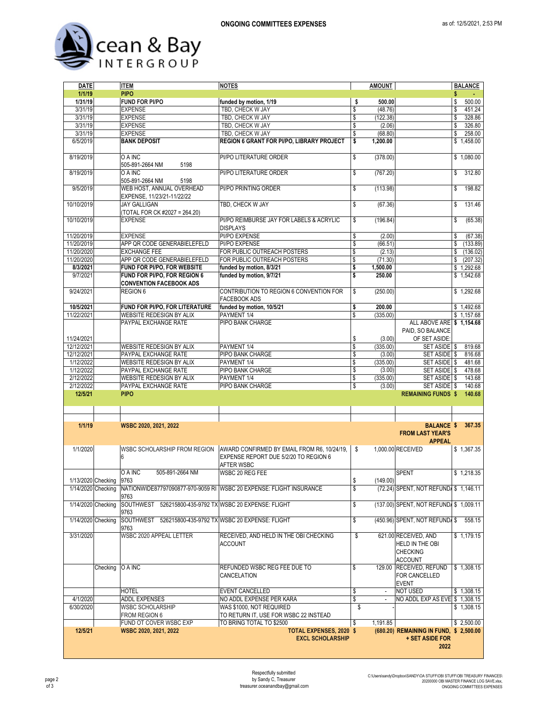

| <b>DATE</b>        |                         | <b>ITEM</b><br><b>NOTES</b>                                     |                                                                                      | <b>AMOUNT</b> |                | <b>BALANCE</b>                                                               |              |            |  |  |  |  |
|--------------------|-------------------------|-----------------------------------------------------------------|--------------------------------------------------------------------------------------|---------------|----------------|------------------------------------------------------------------------------|--------------|------------|--|--|--|--|
| 1/1/19             |                         | <b>PIPO</b>                                                     |                                                                                      |               |                |                                                                              | \$           |            |  |  |  |  |
| 1/31/19            |                         | <b>FUND FOR PI/PO</b>                                           | funded by motion, 1/19                                                               | \$            | 500.00         |                                                                              | \$           | 500.00     |  |  |  |  |
| 3/31/19            |                         | <b>EXPENSE</b>                                                  | TBD, CHECK W JAY                                                                     | \$            | (48.76)        |                                                                              | \$           | 451.24     |  |  |  |  |
| 3/31/19            |                         | <b>EXPENSE</b>                                                  | TBD, CHECK W JAY                                                                     | \$            | (122.38)       |                                                                              | \$           | 328.86     |  |  |  |  |
| 3/31/19            |                         | <b>EXPENSE</b>                                                  | TBD, CHECK W JAY                                                                     | \$            | (2.06)         |                                                                              | 326.80<br>\$ |            |  |  |  |  |
| 3/31/19            |                         | <b>EXPENSE</b>                                                  | TBD, CHECK W JAY                                                                     | \$            | (68.80)        |                                                                              | \$<br>258.00 |            |  |  |  |  |
| 6/5/2019           |                         | <b>BANK DEPOSIT</b>                                             | REGION 6 GRANT FOR PI/PO, LIBRARY PROJECT                                            | \$            | 1,200.00       |                                                                              |              | \$1,458.00 |  |  |  |  |
| 8/19/2019          |                         | O A INC<br>505-891-2664 NM<br>5198                              | PI/PO LITERATURE ORDER                                                               | \$            | (378.00)       |                                                                              |              | \$1,080.00 |  |  |  |  |
| 8/19/2019          |                         | O A INC<br>505-891-2664 NM<br>5198                              | PI/PO LITERATURE ORDER                                                               | \$            | (767.20)       |                                                                              | \$           | 312.80     |  |  |  |  |
| 9/5/2019           |                         | WEB HOST, ANNUAL OVERHEAD<br>EXPENSE, 11/23/21-11/22/22         | PI/PO PRINTING ORDER                                                                 | \$            | (113.98)       |                                                                              | \$           | 198.82     |  |  |  |  |
| 10/10/2019         |                         | <b>JAY GALLIGAN</b><br>(TOTAL FOR CK #2027 = 264.20)            | TBD, CHECK W JAY                                                                     | \$            | (67.36)        |                                                                              | \$           | 131.46     |  |  |  |  |
| 10/10/2019         |                         | <b>EXPENSE</b>                                                  | PI/PO REIMBURSE JAY FOR LABELS & ACRYLIC<br><b>DISPLAYS</b>                          | \$            | (196.84)       |                                                                              | \$           | (65.38)    |  |  |  |  |
| 11/20/2019         |                         | <b>EXPENSE</b>                                                  | <b>PI/PO EXPENSE</b>                                                                 | \$            | (2.00)         |                                                                              | \$           | (67.38)    |  |  |  |  |
| 11/20/2019         |                         | APP QR CODE GENERABIELEFELD                                     | PI/PO EXPENSE                                                                        | \$            | (66.51)        |                                                                              | \$           | (133.89)   |  |  |  |  |
| 11/20/2020         |                         | <b>EXCHANGE FEE</b>                                             | FOR PUBLIC OUTREACH POSTERS                                                          | \$            | (2.13)         |                                                                              | \$           | (136.02)   |  |  |  |  |
| 11/20/2020         |                         | APP QR CODE GENERABIELEFELD                                     | FOR PUBLIC OUTREACH POSTERS                                                          | \$            | (71.30)        |                                                                              | \$           | (207.32)   |  |  |  |  |
| 8/3/2021           |                         | FUND FOR PI/PO, FOR WEBSITE                                     | funded by motion, 8/3/21                                                             | \$            | 1.500.00       |                                                                              |              | \$1,292.68 |  |  |  |  |
| 9/7/2021           |                         | FUND FOR PI/PO, FOR REGION 6                                    | funded by motion, 9/7/21                                                             | \$            | 250.00         |                                                                              |              | \$1,542.68 |  |  |  |  |
|                    |                         | <b>CONVENTION FACEBOOK ADS</b>                                  |                                                                                      |               |                |                                                                              |              |            |  |  |  |  |
| 9/24/2021          |                         | <b>REGION 6</b>                                                 | CONTRIBUTION TO REGION 6 CONVENTION FOR<br><b>FACEBOOK ADS</b>                       | \$            | (250.00)       |                                                                              |              | \$1,292.68 |  |  |  |  |
| 10/5/2021          |                         | <b>FUND FOR PI/PO, FOR LITERATURE</b>                           | funded by motion, 10/5/21                                                            | \$            | 200.00         |                                                                              |              | \$1,492.68 |  |  |  |  |
| 11/22/2021         |                         | WEBSITE REDESIGN BY ALIX                                        | PAYMENT 1/4                                                                          | \$            | (335.00)       |                                                                              |              | \$1,157.68 |  |  |  |  |
|                    |                         | PAYPAL EXCHANGE RATE                                            | PIPO BANK CHARGE                                                                     |               |                | ALL ABOVE ARE \$ 1,154.68                                                    |              |            |  |  |  |  |
|                    |                         |                                                                 |                                                                                      |               |                | PAID, SO BALANCE                                                             |              |            |  |  |  |  |
| 11/24/2021         |                         |                                                                 |                                                                                      | \$            | (3.00)         | OF SET ASIDE:                                                                |              |            |  |  |  |  |
| 12/12/2021         |                         | WEBSITE REDESIGN BY ALIX                                        | PAYMENT 1/4                                                                          | \$            | (335.00)       | SET ASIDE \$                                                                 |              | 819.68     |  |  |  |  |
| 12/12/2021         |                         | PAYPAL EXCHANGE RATE                                            |                                                                                      | \$            | (3.00)         | SET ASIDE \$                                                                 |              | 816.68     |  |  |  |  |
|                    |                         |                                                                 | <b>PIPO BANK CHARGE</b>                                                              |               |                |                                                                              |              |            |  |  |  |  |
| 1/12/2022          |                         | WEBSITE REDESIGN BY ALIX                                        | PAYMENT 1/4                                                                          | \$            | (335.00)       | SET ASIDE \$                                                                 |              | 481.68     |  |  |  |  |
| 1/12/2022          |                         | PAYPAL EXCHANGE RATE                                            | PIPO BANK CHARGE                                                                     | \$            | (3.00)         | SET ASIDE \$                                                                 |              | 478.68     |  |  |  |  |
| 2/12/2022          |                         | WEBSITE REDESIGN BY ALIX                                        | PAYMENT 1/4                                                                          | \$            | (335.00)       | SET ASIDE \$<br>SET ASIDE \$                                                 |              | 143.68     |  |  |  |  |
| 2/12/2022          |                         | PAYPAL EXCHANGE RATE                                            | PIPO BANK CHARGE                                                                     | s             | (3.00)         |                                                                              | 140.68       |            |  |  |  |  |
| 12/5/21            |                         | <b>PIPO</b>                                                     |                                                                                      |               |                | <b>REMAINING FUNDS \$</b>                                                    |              | 140.68     |  |  |  |  |
|                    |                         |                                                                 |                                                                                      |               |                |                                                                              |              |            |  |  |  |  |
|                    |                         |                                                                 |                                                                                      |               |                |                                                                              |              |            |  |  |  |  |
| 1/1/19             |                         | WSBC 2020, 2021, 2022                                           |                                                                                      |               |                | <b>BALANCE \$</b><br><b>FROM LAST YEAR'S</b><br><b>APPEAL</b>                |              | 367.35     |  |  |  |  |
| 1/1/2020           |                         | WSBC SCHOLARSHIP FROM REGION<br>$6\phantom{.}6$                 | AWARD CONFIRMED BY EMAIL FROM R6, 10/24/19,<br>EXPENSE REPORT DUE 5/2/20 TO REGION 6 | \$            |                | 1,000.00 RECEIVED                                                            |              | \$1,367.35 |  |  |  |  |
|                    |                         | 505-891-2664 NM<br>O A INC                                      | <b>AFTER WSBC</b><br>WSBC 20 REG FEE                                                 |               |                | <b>SPENT</b>                                                                 |              | \$1,218.35 |  |  |  |  |
|                    | 1/13/2020 Checking 9763 |                                                                 |                                                                                      | \$            | (149.00)       |                                                                              |              |            |  |  |  |  |
| 1/14/2020 Checking |                         | 9763                                                            | NATIONWIDE87797090877-970-9059 RI WSBC 20 EXPENSE: FLIGHT INSURANCE                  | \$            |                | (72.24) SPENT, NOT REFUND, \$1,146.11                                        |              |            |  |  |  |  |
|                    | 1/14/2020 Checking      | SOUTHWEST 526215800-435-9792 TX WSBC 20 EXPENSE: FLIGHT<br>9763 |                                                                                      | \$            |                | (137.00) SPENT, NOT REFUND \$ 1,009.11                                       |              |            |  |  |  |  |
| 1/14/2020 Checking |                         | SOUTHWEST 526215800-435-9792 TX WSBC 20 EXPENSE: FLIGHT<br>9763 |                                                                                      | \$            |                | (450.96) SPENT, NOT REFUND. \$                                               |              | 558.15     |  |  |  |  |
| 3/31/2020          |                         | WSBC 2020 APPEAL LETTER                                         | RECEIVED, AND HELD IN THE OBI CHECKING<br><b>ACCOUNT</b>                             | \$            |                | 621.00 RECEIVED, AND<br>HELD IN THE OBI<br><b>CHECKING</b><br><b>ACCOUNT</b> |              | \$1,179.15 |  |  |  |  |
|                    | Checking                | O A INC                                                         | REFUNDED WSBC REG FEE DUE TO<br>CANCELATION                                          | \$            | 129.00         | <b>RECEIVED, REFUND</b><br>FOR CANCELLED<br><b>EVENT</b>                     |              | \$1,308.15 |  |  |  |  |
|                    |                         | <b>HOTEL</b>                                                    | <b>EVENT CANCELLED</b>                                                               | \$            | ÷.             | <b>NOT USED</b>                                                              |              | \$1,308.15 |  |  |  |  |
| 4/1/2020           |                         | <b>ADDL EXPENSES</b>                                            | NO ADDL EXPENSE PER KARA                                                             | \$            | $\blacksquare$ | NO ADDL EXP AS EVE \$ 1,308.15                                               |              |            |  |  |  |  |
| 6/30/2020          |                         | <b>WSBC SCHOLARSHIP</b>                                         | WAS \$1000, NOT REQUIRED                                                             | \$            |                |                                                                              |              | \$1,308.15 |  |  |  |  |
|                    |                         | FROM REGION 6                                                   | TO RETURN IT, USE FOR WSBC 22 INSTEAD                                                |               |                |                                                                              |              |            |  |  |  |  |
|                    |                         | FUND OT COVER WSBC EXP                                          | TO BRING TOTAL TO \$2500                                                             | \$            | 1,191.85       |                                                                              |              | \$2,500.00 |  |  |  |  |
| 12/5/21            |                         | WSBC 2020, 2021, 2022                                           | TOTAL EXPENSES, 2020 \$                                                              |               |                | (680.20) REMAINING IN FUND, \$ 2,500.00                                      |              |            |  |  |  |  |
|                    |                         |                                                                 | <b>EXCL SCHOLARSHIP</b>                                                              |               |                | + SET ASIDE FOR                                                              |              |            |  |  |  |  |
|                    |                         |                                                                 |                                                                                      |               | 2022           |                                                                              |              |            |  |  |  |  |
|                    |                         |                                                                 |                                                                                      |               |                |                                                                              |              |            |  |  |  |  |